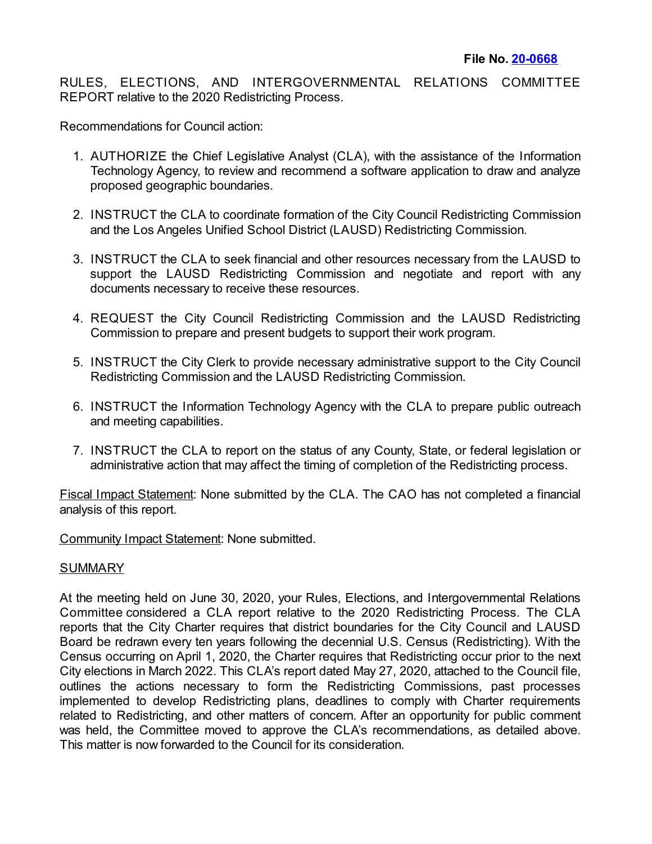RULES, ELECTIONS, AND INTERGOVERNMENTAL RELATIONS COMMITTEE REPORT relative to the 2020 Redistricting Process.

Recommendations for Council action:

- 1. AUTHORIZE the Chief Legislative Analyst (CLA), with the assistance of the Information Technology Agency, to review and recommend a software application to draw and analyze proposed geographic boundaries.
- 2. INSTRUCT the CLA to coordinate formation of the City Council Redistricting Commission and the Los Angeles Unified School District (LAUSD) Redistricting Commission.
- 3. INSTRUCT the CLA to seek financial and other resources necessary from the LAUSD to support the LAUSD Redistricting Commission and negotiate and report with any documents necessary to receive these resources.
- 4. REQUEST the City Council Redistricting Commission and the LAUSD Redistricting Commission to prepare and present budgets to support their work program.
- 5. INSTRUCT the City Clerk to provide necessary administrative support to the City Council Redistricting Commission and the LAUSD Redistricting Commission.
- 6. INSTRUCT the Information Technology Agency with the CLA to prepare public outreach and meeting capabilities.
- 7. INSTRUCT the CLA to report on the status of any County, State, or federal legislation or administrative action that may affect the timing of completion of the Redistricting process.

Fiscal Impact Statement: None submitted by the CLA. The CAO has not completed a financial analysis of this report.

Community Impact Statement: None submitted.

## SUMMARY

At the meeting held on June 30, 2020, your Rules, Elections, and Intergovernmental Relations Committee considered a CLA report relative to the 2020 Redistricting Process. The CLA reports that the City Charter requires that district boundaries for the City Council and LAUSD Board be redrawn every ten years following the decennial U.S. Census (Redistricting). With the Census occurring on April 1, 2020, the Charter requires that Redistricting occur prior to the next City elections in March 2022. This CLA's report dated May 27, 2020, attached to the Council file, outlines the actions necessary to form the Redistricting Commissions, past processes implemented to develop Redistricting plans, deadlines to comply with Charter requirements related to Redistricting, and other matters of concern. After an opportunity for public comment was held, the Committee moved to approve the CLA's recommendations, as detailed above. This matter is now forwarded to the Council for its consideration.